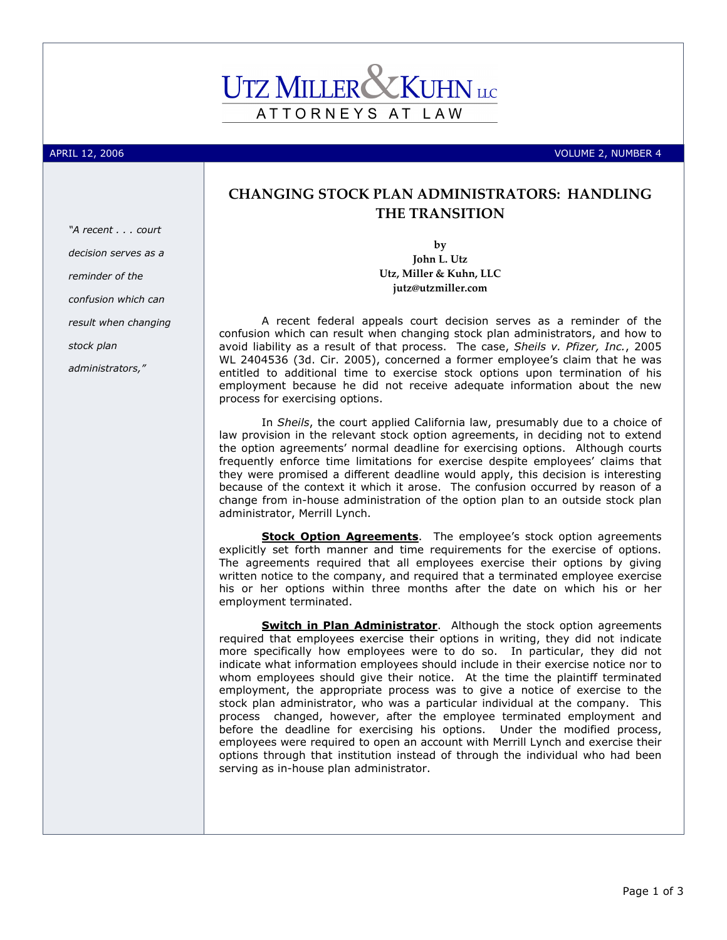## ATTORNEYS AT LAW

"A recent . . . court decision serves as a

confusion which can

result when changing

reminder of the

stock plan

administrators,"

APRIL 12, 2006 VOLUME 2, NUMBER 4

## CHANGING STOCK PLAN ADMINISTRATORS: HANDLING THE TRANSITION

by John L. Utz Utz, Miller & Kuhn, LLC jutz@utzmiller.com

A recent federal appeals court decision serves as a reminder of the confusion which can result when changing stock plan administrators, and how to avoid liability as a result of that process. The case, Sheils v. Pfizer, Inc., 2005 WL 2404536 (3d. Cir. 2005), concerned a former employee's claim that he was entitled to additional time to exercise stock options upon termination of his employment because he did not receive adequate information about the new process for exercising options.

In Sheils, the court applied California law, presumably due to a choice of law provision in the relevant stock option agreements, in deciding not to extend the option agreements' normal deadline for exercising options. Although courts frequently enforce time limitations for exercise despite employees' claims that they were promised a different deadline would apply, this decision is interesting because of the context it which it arose. The confusion occurred by reason of a change from in-house administration of the option plan to an outside stock plan administrator, Merrill Lynch.

Stock Option Agreements. The employee's stock option agreements explicitly set forth manner and time requirements for the exercise of options. The agreements required that all employees exercise their options by giving written notice to the company, and required that a terminated employee exercise his or her options within three months after the date on which his or her employment terminated.

**Switch in Plan Administrator**. Although the stock option agreements required that employees exercise their options in writing, they did not indicate more specifically how employees were to do so. In particular, they did not indicate what information employees should include in their exercise notice nor to whom employees should give their notice. At the time the plaintiff terminated employment, the appropriate process was to give a notice of exercise to the stock plan administrator, who was a particular individual at the company. This process changed, however, after the employee terminated employment and before the deadline for exercising his options. Under the modified process, employees were required to open an account with Merrill Lynch and exercise their options through that institution instead of through the individual who had been serving as in-house plan administrator.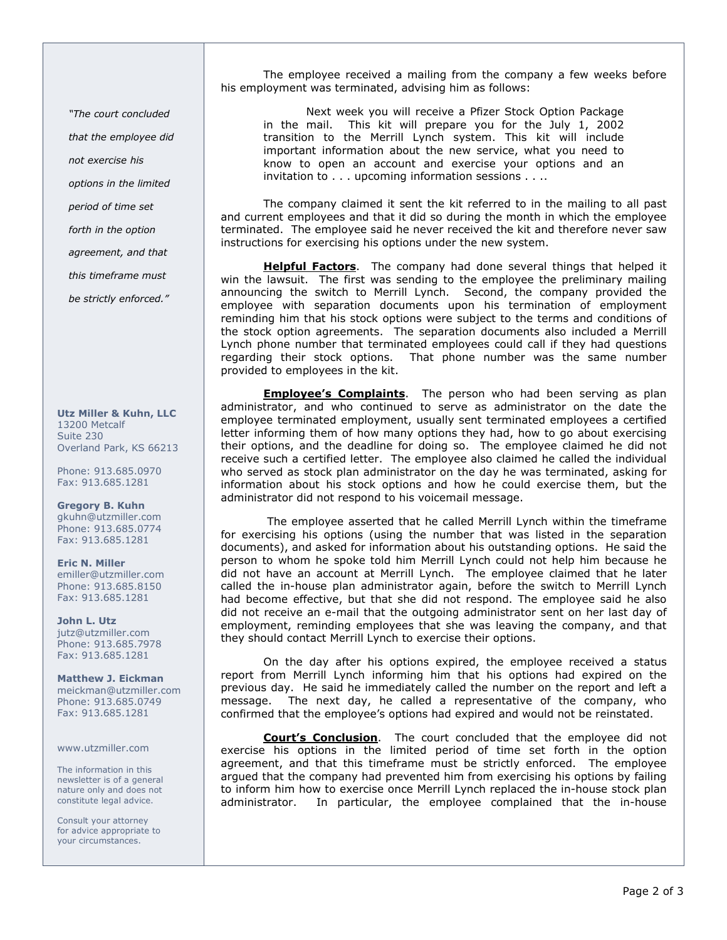"The court concluded that the employee did not exercise his options in the limited period of time set forth in the option agreement, and that this timeframe must

be strictly enforced."

Utz Miller & Kuhn, LLC 13200 Metcalf Suite 230 Overland Park, KS 66213

Phone: 913.685.0970 Fax: 913.685.1281

Gregory B. Kuhn gkuhn@utzmiller.com Phone: 913.685.0774 Fax: 913.685.1281

Eric N. Miller emiller@utzmiller.com Phone: 913.685.8150 Fax: 913.685.1281

John L. Utz jutz@utzmiller.com Phone: 913.685.7978 Fax: 913.685.1281

Matthew J. Eickman meickman@utzmiller.com Phone: 913.685.0749 Fax: 913.685.1281

## www.utzmiller.com

The information in this newsletter is of a general nature only and does not constitute legal advice.

Consult your attorney for advice appropriate to your circumstances.

The employee received a mailing from the company a few weeks before his employment was terminated, advising him as follows:

Next week you will receive a Pfizer Stock Option Package in the mail. This kit will prepare you for the July 1, 2002 transition to the Merrill Lynch system. This kit will include important information about the new service, what you need to know to open an account and exercise your options and an invitation to . . . upcoming information sessions . . . .

The company claimed it sent the kit referred to in the mailing to all past and current employees and that it did so during the month in which the employee terminated. The employee said he never received the kit and therefore never saw instructions for exercising his options under the new system.

Helpful Factors. The company had done several things that helped it win the lawsuit. The first was sending to the employee the preliminary mailing announcing the switch to Merrill Lynch. Second, the company provided the employee with separation documents upon his termination of employment reminding him that his stock options were subject to the terms and conditions of the stock option agreements. The separation documents also included a Merrill Lynch phone number that terminated employees could call if they had questions regarding their stock options. That phone number was the same number provided to employees in the kit.

**Employee's Complaints**. The person who had been serving as plan administrator, and who continued to serve as administrator on the date the employee terminated employment, usually sent terminated employees a certified letter informing them of how many options they had, how to go about exercising their options, and the deadline for doing so. The employee claimed he did not receive such a certified letter. The employee also claimed he called the individual who served as stock plan administrator on the day he was terminated, asking for information about his stock options and how he could exercise them, but the administrator did not respond to his voicemail message.

 The employee asserted that he called Merrill Lynch within the timeframe for exercising his options (using the number that was listed in the separation documents), and asked for information about his outstanding options. He said the person to whom he spoke told him Merrill Lynch could not help him because he did not have an account at Merrill Lynch. The employee claimed that he later called the in-house plan administrator again, before the switch to Merrill Lynch had become effective, but that she did not respond. The employee said he also did not receive an e-mail that the outgoing administrator sent on her last day of employment, reminding employees that she was leaving the company, and that they should contact Merrill Lynch to exercise their options.

On the day after his options expired, the employee received a status report from Merrill Lynch informing him that his options had expired on the previous day. He said he immediately called the number on the report and left a message. The next day, he called a representative of the company, who confirmed that the employee's options had expired and would not be reinstated.

Court's Conclusion. The court concluded that the employee did not exercise his options in the limited period of time set forth in the option agreement, and that this timeframe must be strictly enforced. The employee argued that the company had prevented him from exercising his options by failing to inform him how to exercise once Merrill Lynch replaced the in-house stock plan administrator. In particular, the employee complained that the in-house